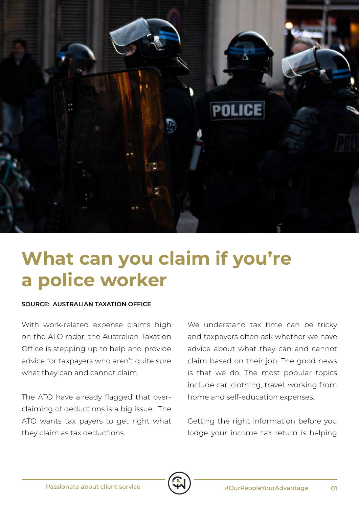

## **What can you claim if you're a police worker**

## **SOURCE: AUSTRALIAN TAXATION OFFICE**

With work-related expense claims high on the ATO radar, the Australian Taxation Office is stepping up to help and provide advice for taxpayers who aren't quite sure what they can and cannot claim.

The ATO have already flagged that overclaiming of deductions is a big issue. The ATO wants tax payers to get right what they claim as tax deductions.

We understand tax time can be tricky and taxpayers often ask whether we have advice about what they can and cannot claim based on their job. The good news is that we do. The most popular topics include car, clothing, travel, working from home and self-education expenses.

Getting the right information before you lodge your income tax return is helping